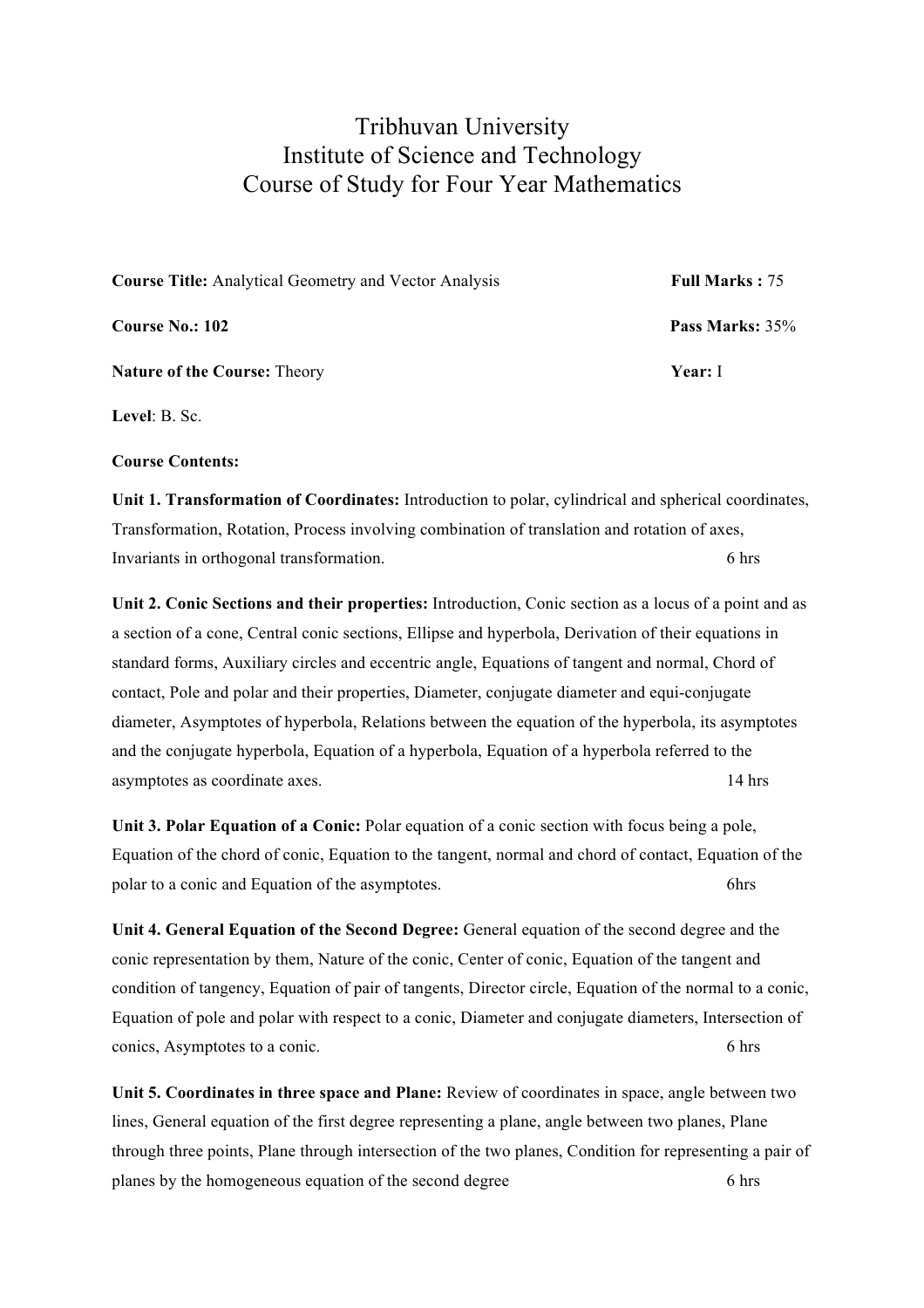## Tribhuvan University Institute of Science and Technology Course of Study for Four Year Mathematics

| <b>Course Title:</b> Analytical Geometry and Vector Analysis | <b>Full Marks: 75</b> |
|--------------------------------------------------------------|-----------------------|
| <b>Course No.: 102</b>                                       | Pass Marks: 35%       |
| <b>Nature of the Course: Theory</b>                          | <b>Year:</b> I        |

**Level**: B. Sc.

## **Course Contents:**

**Unit 1. Transformation of Coordinates:** Introduction to polar, cylindrical and spherical coordinates, Transformation, Rotation, Process involving combination of translation and rotation of axes, Invariants in orthogonal transformation. The same of the set of the set of the set of the set of the set of the set of the set of the set of the set of the set of the set of the set of the set of the set of the set of the

**Unit 2. Conic Sections and their properties:** Introduction, Conic section as a locus of a point and as a section of a cone, Central conic sections, Ellipse and hyperbola, Derivation of their equations in standard forms, Auxiliary circles and eccentric angle, Equations of tangent and normal, Chord of contact, Pole and polar and their properties, Diameter, conjugate diameter and equi-conjugate diameter, Asymptotes of hyperbola, Relations between the equation of the hyperbola, its asymptotes and the conjugate hyperbola, Equation of a hyperbola, Equation of a hyperbola referred to the asymptotes as coordinate axes. 14 hrs

**Unit 3. Polar Equation of a Conic:** Polar equation of a conic section with focus being a pole. Equation of the chord of conic, Equation to the tangent, normal and chord of contact, Equation of the polar to a conic and Equation of the asymptotes. 6hrs

**Unit 4. General Equation of the Second Degree:** General equation of the second degree and the conic representation by them, Nature of the conic, Center of conic, Equation of the tangent and condition of tangency, Equation of pair of tangents, Director circle, Equation of the normal to a conic, Equation of pole and polar with respect to a conic, Diameter and conjugate diameters, Intersection of conics, Asymptotes to a conic. 6 hrs

**Unit 5. Coordinates in three space and Plane:** Review of coordinates in space, angle between two lines, General equation of the first degree representing a plane, angle between two planes, Plane through three points, Plane through intersection of the two planes, Condition for representing a pair of planes by the homogeneous equation of the second degree 6 hrs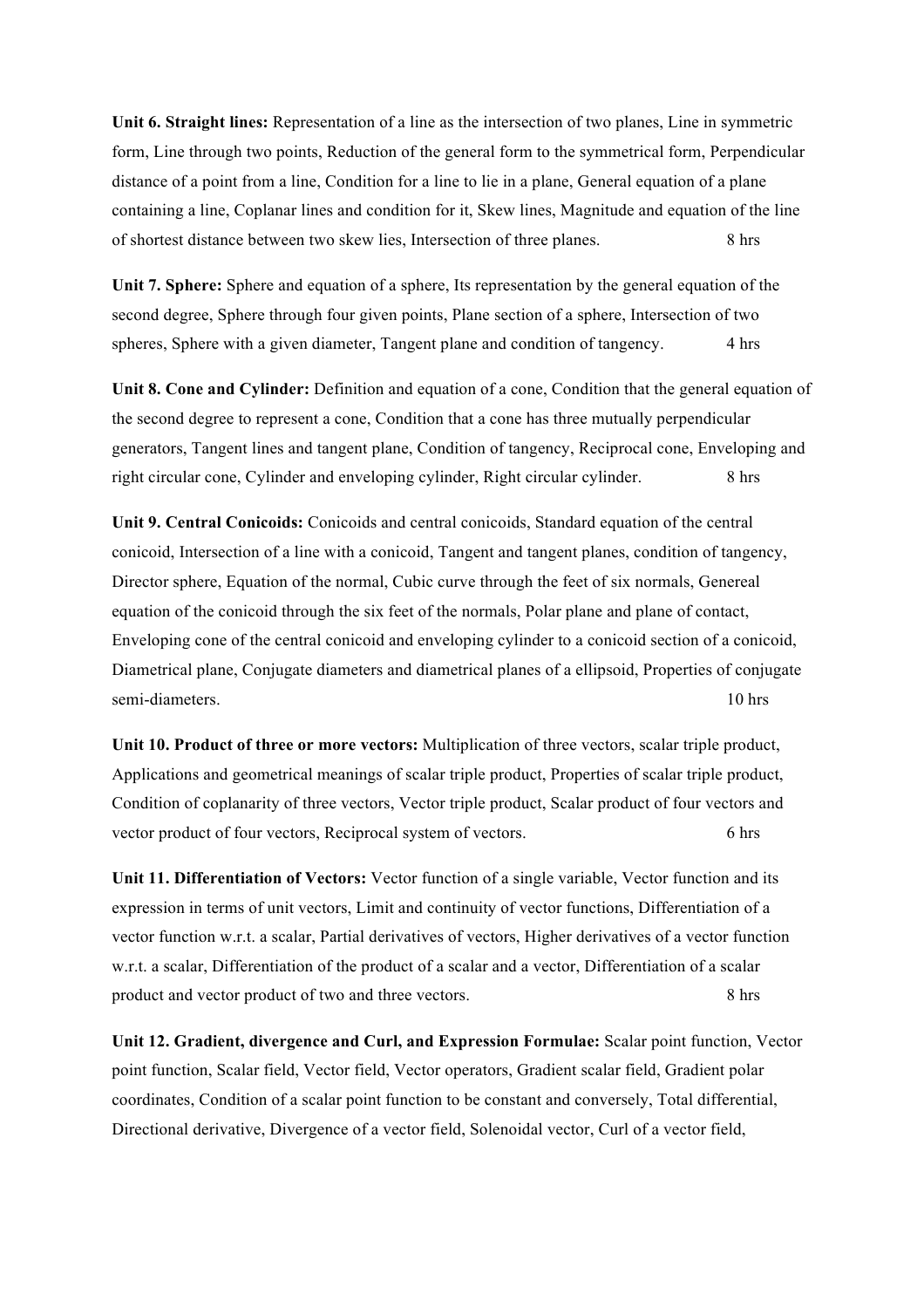**Unit 6. Straight lines:** Representation of a line as the intersection of two planes, Line in symmetric form, Line through two points, Reduction of the general form to the symmetrical form, Perpendicular distance of a point from a line, Condition for a line to lie in a plane, General equation of a plane containing a line, Coplanar lines and condition for it, Skew lines, Magnitude and equation of the line of shortest distance between two skew lies, Intersection of three planes. 8 hrs

**Unit 7. Sphere:** Sphere and equation of a sphere, Its representation by the general equation of the second degree, Sphere through four given points, Plane section of a sphere, Intersection of two spheres, Sphere with a given diameter, Tangent plane and condition of tangency. 4 hrs

**Unit 8. Cone and Cylinder:** Definition and equation of a cone, Condition that the general equation of the second degree to represent a cone, Condition that a cone has three mutually perpendicular generators, Tangent lines and tangent plane, Condition of tangency, Reciprocal cone, Enveloping and right circular cone, Cylinder and enveloping cylinder, Right circular cylinder. 8 hrs

**Unit 9. Central Conicoids:** Conicoids and central conicoids, Standard equation of the central conicoid, Intersection of a line with a conicoid, Tangent and tangent planes, condition of tangency, Director sphere, Equation of the normal, Cubic curve through the feet of six normals, Genereal equation of the conicoid through the six feet of the normals, Polar plane and plane of contact, Enveloping cone of the central conicoid and enveloping cylinder to a conicoid section of a conicoid, Diametrical plane, Conjugate diameters and diametrical planes of a ellipsoid, Properties of conjugate semi-diameters. 10 hrs

**Unit 10. Product of three or more vectors:** Multiplication of three vectors, scalar triple product, Applications and geometrical meanings of scalar triple product, Properties of scalar triple product, Condition of coplanarity of three vectors, Vector triple product, Scalar product of four vectors and vector product of four vectors, Reciprocal system of vectors. 6 hrs

**Unit 11. Differentiation of Vectors:** Vector function of a single variable, Vector function and its expression in terms of unit vectors, Limit and continuity of vector functions, Differentiation of a vector function w.r.t. a scalar, Partial derivatives of vectors, Higher derivatives of a vector function w.r.t. a scalar, Differentiation of the product of a scalar and a vector, Differentiation of a scalar product and vector product of two and three vectors. 8 hrs

**Unit 12. Gradient, divergence and Curl, and Expression Formulae:** Scalar point function, Vector point function, Scalar field, Vector field, Vector operators, Gradient scalar field, Gradient polar coordinates, Condition of a scalar point function to be constant and conversely, Total differential, Directional derivative, Divergence of a vector field, Solenoidal vector, Curl of a vector field,